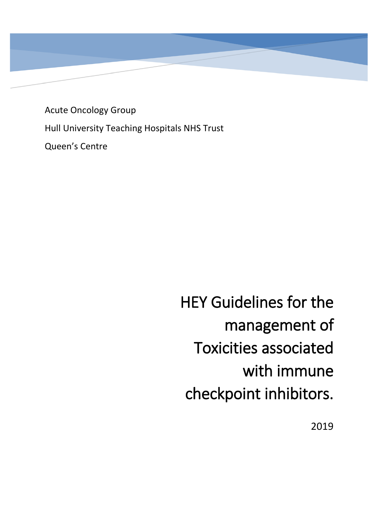Acute Oncology Group Hull University Teaching Hospitals NHS Trust Queen's Centre

> HEY Guidelines for the management of Toxicities associated with immune checkpoint inhibitors.

> > 2019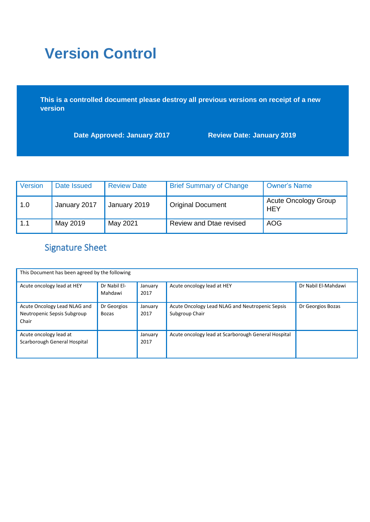# **Version Control**

**This is a controlled document please destroy all previous versions on receipt of a new version** 

**Date Approved: January 2017 Review Date: January 2019**

| <b>Version</b> | Date Issued  | <b>Review Date</b> | <b>Brief Summary of Change</b> | <b>Owner's Name</b>                |
|----------------|--------------|--------------------|--------------------------------|------------------------------------|
| 1.0            | January 2017 | January 2019       | <b>Original Document</b>       | <b>Acute Oncology Group</b><br>HEY |
| 1.1            | May 2019     | May 2021           | Review and Dtae revised        | <b>AOG</b>                         |

# Signature Sheet

| This Document has been agreed by the following                       |                             |                 |                                                                   |                     |  |  |
|----------------------------------------------------------------------|-----------------------------|-----------------|-------------------------------------------------------------------|---------------------|--|--|
| Acute oncology lead at HEY                                           | Dr Nabil El-<br>Mahdawi     | January<br>2017 | Acute oncology lead at HEY                                        | Dr Nabil El-Mahdawi |  |  |
| Acute Oncology Lead NLAG and<br>Neutropenic Sepsis Subgroup<br>Chair | Dr Georgios<br><b>Bozas</b> | January<br>2017 | Acute Oncology Lead NLAG and Neutropenic Sepsis<br>Subgroup Chair | Dr Georgios Bozas   |  |  |
| Acute oncology lead at<br>Scarborough General Hospital               |                             | January<br>2017 | Acute oncology lead at Scarborough General Hospital               |                     |  |  |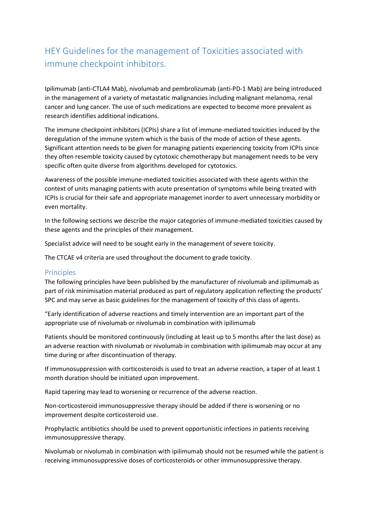# HEY Guidelines for the management of Toxicities associated with immune checkpoint inhibitors.

Ipilimumab (anti-CTLA4 Mab), nivolumab and pembrolizumab (anti-PD-1 Mab) are being introduced in the management of a variety of metastatic malignancies including malignant melanoma, renal cancer and lung cancer. The use of such medications are expected to become more prevalent as research identifies additional indications.

The immune checkpoint inhibitors (ICPIs) share a list of immune-mediated toxicities induced by the deregulation of the immune system which is the basis of the mode of action of these agents. Significant attention needs to be given for managing patients experiencing toxicity from ICPIs since they often resemble toxicity caused by cytotoxic chemotherapy but management needs to be very specific often quite diverse from algorithms developed for cytotoxics.

Awareness of the possible immune-mediated toxicities associated with these agents within the context of units managing patients with acute presentation of symptoms while being treated with ICPIs is crucial for their safe and appropriate managemet inorder to avert unnecessary morbidity or even mortality.

In the following sections we describe the major categories of immune-mediated toxicities caused by these agents and the principles of their management.

Specialist advice will need to be sought early in the management of severe toxicity.

The CTCAE v4 criteria are used throughout the document to grade toxicity.

#### **Principles**

The following principles have been published by the manufacturer of nivolumab and ipilimumab as part of risk minimisation material produced as part of regulatory application reflecting the products' SPC and may serve as basic guidelines for the management of toxicity of this class of agents.

"Early identification of adverse reactions and timely intervention are an important part of the appropriate use of nivolumab or nivolumab in combination with ipilimumab

Patients should be monitored continuously (including at least up to 5 months after the last dose) as an adverse reaction with nivolumab or nivolumab in combination with ipilimumab may occur at any time during or after discontinuation of therapy.

If immunosuppression with corticosteroids is used to treat an adverse reaction, a taper of at least 1 month duration should be initiated upon improvement.

Rapid tapering may lead to worsening or recurrence of the adverse reaction.

Non-corticosteroid immunosuppressive therapy should be added if there is worsening or no improvement despite corticosteroid use.

Prophylactic antibiotics should be used to prevent opportunistic infections in patients receiving immunosuppressive therapy.

Nivolumab or nivolumab in combination with ipilimumab should not be resumed while the patient is receiving immunosuppressive doses of corticosteroids or other immunosuppressive therapy.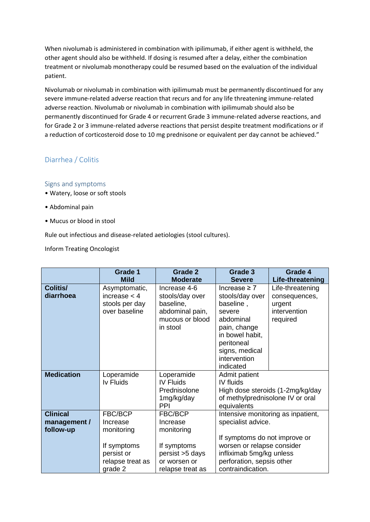When nivolumab is administered in combination with ipilimumab, if either agent is withheld, the other agent should also be withheld. If dosing is resumed after a delay, either the combination treatment or nivolumab monotherapy could be resumed based on the evaluation of the individual patient.

Nivolumab or nivolumab in combination with ipilimumab must be permanently discontinued for any severe immune-related adverse reaction that recurs and for any life threatening immune-related adverse reaction. Nivolumab or nivolumab in combination with ipilimumab should also be permanently discontinued for Grade 4 or recurrent Grade 3 immune-related adverse reactions, and for Grade 2 or 3 immune-related adverse reactions that persist despite treatment modifications or if a reduction of corticosteroid dose to 10 mg prednisone or equivalent per day cannot be achieved."

# Diarrhea / Colitis

### Signs and symptoms

- Watery, loose or soft stools
- Abdominal pain
- Mucus or blood in stool

Rule out infectious and disease-related aetiologies (stool cultures).

Inform Treating Oncologist

|                   | Grade 1          | <b>Grade 2</b>   | Grade 3                            | Grade 4                          |
|-------------------|------------------|------------------|------------------------------------|----------------------------------|
|                   | <b>Mild</b>      | <b>Moderate</b>  | <b>Severe</b>                      | Life-threatening                 |
| <b>Colitis/</b>   | Asymptomatic,    | Increase 4-6     | Increase $\geq 7$                  | Life-threatening                 |
| diarrhoea         | increase $<$ 4   | stools/day over  | stools/day over                    | consequences,                    |
|                   | stools per day   | baseline,        | baseline,                          | urgent                           |
|                   | over baseline    | abdominal pain,  | severe                             | intervention                     |
|                   |                  | mucous or blood  | abdominal                          | required                         |
|                   |                  | in stool         | pain, change                       |                                  |
|                   |                  |                  | in bowel habit,                    |                                  |
|                   |                  |                  | peritoneal                         |                                  |
|                   |                  |                  | signs, medical                     |                                  |
|                   |                  |                  | intervention                       |                                  |
|                   |                  |                  | indicated                          |                                  |
| <b>Medication</b> | Loperamide       | Loperamide       | Admit patient                      |                                  |
|                   | <b>Iv Fluids</b> | <b>IV Fluids</b> | IV fluids                          |                                  |
|                   |                  | Prednisolone     |                                    | High dose steroids (1-2mg/kg/day |
|                   |                  | 1mg/kg/day       | of methylprednisolone IV or oral   |                                  |
|                   |                  | <b>PPI</b>       | equivalents                        |                                  |
| <b>Clinical</b>   | FBC/BCP          | FBC/BCP          | Intensive monitoring as inpatient, |                                  |
| management /      | Increase         | Increase         | specialist advice.                 |                                  |
| follow-up         | monitoring       | monitoring       |                                    |                                  |
|                   |                  |                  | If symptoms do not improve or      |                                  |
|                   | If symptoms      | If symptoms      | worsen or relapse consider         |                                  |
|                   | persist or       | persist >5 days  | infliximab 5mg/kg unless           |                                  |
|                   | relapse treat as | or worsen or     | perforation, sepsis other          |                                  |
|                   | grade 2          | relapse treat as | contraindication.                  |                                  |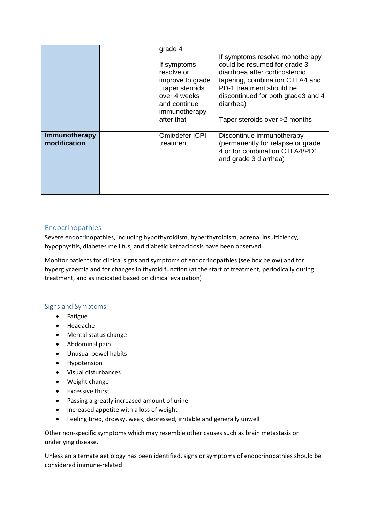|                               | grade 4<br>If symptoms<br>resolve or<br>improve to grade<br>, taper steroids<br>over 4 weeks<br>and continue<br>immunotherapy<br>after that | If symptoms resolve monotherapy<br>could be resumed for grade 3<br>diarrhoea after corticosteroid<br>tapering, combination CTLA4 and<br>PD-1 treatment should be<br>discontinued for both grade3 and 4<br>diarrhea)<br>Taper steroids over >2 months |
|-------------------------------|---------------------------------------------------------------------------------------------------------------------------------------------|------------------------------------------------------------------------------------------------------------------------------------------------------------------------------------------------------------------------------------------------------|
| Immunotherapy<br>modification | Omit/defer ICPI<br>treatment                                                                                                                | Discontinue immunotherapy<br>(permanently for relapse or grade<br>4 or for combination CTLA4/PD1<br>and grade 3 diarrhea)                                                                                                                            |

# Endocrinopathies

Severe endocrinopathies, including hypothyroidism, hyperthyroidism, adrenal insufficiency, hypophysitis, diabetes mellitus, and diabetic ketoacidosis have been observed.

Monitor patients for clinical signs and symptoms of endocrinopathies (see box below) and for hyperglycaemia and for changes in thyroid function (at the start of treatment, periodically during treatment, and as indicated based on clinical evaluation)

### Signs and Symptoms

- Fatigue
- Headache
- Mental status change
- Abdominal pain
- Unusual bowel habits
- Hypotension
- Visual disturbances
- Weight change
- Excessive thirst
- Passing a greatly increased amount of urine
- Increased appetite with a loss of weight
- Feeling tired, drowsy, weak, depressed, irritable and generally unwell

Other non-specific symptoms which may resemble other causes such as brain metastasis or underlying disease.

Unless an alternate aetiology has been identified, signs or symptoms of endocrinopathies should be considered immune-related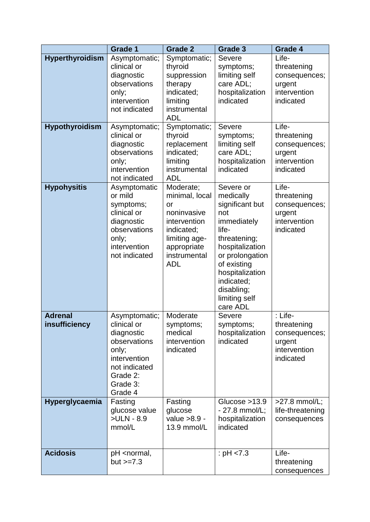|                                        | <b>Grade 1</b>                                                                                                                          | <b>Grade 2</b>                                                                                                                               | <b>Grade 3</b>                                                                                                                                                                                                            | Grade 4                                                                        |
|----------------------------------------|-----------------------------------------------------------------------------------------------------------------------------------------|----------------------------------------------------------------------------------------------------------------------------------------------|---------------------------------------------------------------------------------------------------------------------------------------------------------------------------------------------------------------------------|--------------------------------------------------------------------------------|
| <b>Hyperthyroidism</b>                 | Asymptomatic;<br>clinical or<br>diagnostic<br>observations<br>only;<br>intervention<br>not indicated                                    | Symptomatic;<br>thyroid<br>suppression<br>therapy<br>indicated;<br>limiting<br>instrumental<br><b>ADL</b>                                    | Severe<br>symptoms;<br>limiting self<br>care ADL;<br>hospitalization<br>indicated                                                                                                                                         | Life-<br>threatening<br>consequences;<br>urgent<br>intervention<br>indicated   |
| <b>Hypothyroidism</b>                  | Asymptomatic;<br>clinical or<br>diagnostic<br>observations<br>only;<br>intervention<br>not indicated                                    | Symptomatic;<br>thyroid<br>replacement<br>indicated;<br>limiting<br>instrumental<br><b>ADL</b>                                               | Severe<br>symptoms;<br>limiting self<br>care ADL;<br>hospitalization<br>indicated                                                                                                                                         | Life-<br>threatening<br>consequences;<br>urgent<br>intervention<br>indicated   |
| <b>Hypohysitis</b>                     | Asymptomatic<br>or mild<br>symptoms;<br>clinical or<br>diagnostic<br>observations<br>only;<br>intervention<br>not indicated             | Moderate;<br>minimal, local<br>or<br>noninvasive<br>intervention<br>indicated;<br>limiting age-<br>appropriate<br>instrumental<br><b>ADL</b> | Severe or<br>medically<br>significant but<br>not<br>immediately<br>life-<br>threatening;<br>hospitalization<br>or prolongation<br>of existing<br>hospitalization<br>indicated;<br>disabling;<br>limiting self<br>care ADL | Life-<br>threatening<br>consequences;<br>urgent<br>intervention<br>indicated   |
| <b>Adrenal</b><br><b>insufficiency</b> | Asymptomatic;<br>clinical or<br>diagnostic<br>observations<br>only:<br>intervention<br>not indicated<br>Grade 2:<br>Grade 3:<br>Grade 4 | Moderate<br>symptoms;<br>medical<br>intervention<br>indicated                                                                                | Severe<br>symptoms;<br>hospitalization<br>indicated                                                                                                                                                                       | : Life-<br>threatening<br>consequences;<br>urgent<br>intervention<br>indicated |
| Hyperglycaemia                         | Fasting<br>glucose value<br>>ULN - 8.9<br>mmol/L                                                                                        | Fasting<br>glucose<br>value >8.9 -<br>13.9 mmol/L                                                                                            | Glucose $>13.9$<br>$-27.8$ mmol/L;<br>hospitalization<br>indicated                                                                                                                                                        | $>27.8$ mmol/L;<br>life-threatening<br>consequences                            |
| <b>Acidosis</b>                        | pH <normal,<br>but <math>&gt;=7.3</math></normal,<br>                                                                                   |                                                                                                                                              | : $pH < 7.3$                                                                                                                                                                                                              | Life-<br>threatening<br>consequences                                           |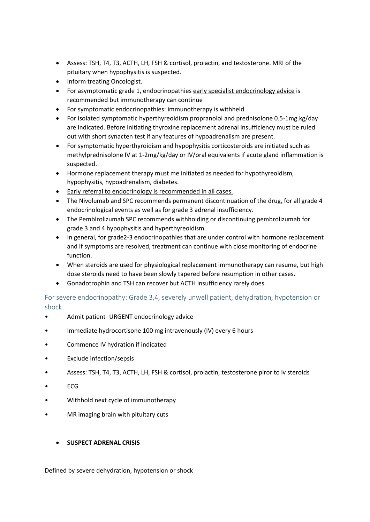- Assess: TSH, T4, T3, ACTH, LH, FSH & cortisol, prolactin, and testosterone. MRI of the pituitary when hypophysitis is suspected.
- Inform treating Oncologist.
- For asymptomatic grade 1, endocrinopathies early specialist endocrinology advice is recommended but immunotherapy can continue
- For symptomatic endocrinopathies: immunotherapy is withheld.
- For isolated symptomatic hyperthyreoidism propranolol and prednisolone 0.5-1mg.kg/day are indicated. Before initiating thyroxine replacement adrenal insufficiency must be ruled out with short synacten test if any features of hypoadrenalism are present.
- For symptomatic hyperthyroidism and hypophysitis corticosteroids are initiated such as methylprednisolone IV at 1-2mg/kg/day or IV/oral equivalents if acute gland inflammation is suspected.
- Hormone replacement therapy must me initiated as needed for hypothyreoidism, hypophysitis, hypoadrenalism, diabetes.
- Early referral to endocrinology is recommended in all cases.
- The Nivolumab and SPC recommends permanent discontinuation of the drug, for all grade 4 endocrinological events as well as for grade 3 adrenal insufficiency.
- The Pemblrolizumab SPC recommends withholding or discontinuing pembrolizumab for grade 3 and 4 hypophysitis and hyperthyreoidism.
- In general, for grade2-3 endocrinopathies that are under control with hormone replacement and if symptoms are resolved, treatment can continue with close monitoring of endocrine function.
- When steroids are used for physiological replacement immunotherapy can resume, but high dose steroids need to have been slowly tapered before resumption in other cases.
- Gonadotrophin and TSH can recover but ACTH insufficiency rarely does.

For severe endocrinopathy: Grade 3,4, severely unwell patient, dehydration, hypotension or shock

- Admit patient- URGENT endocrinology advice
- Immediate hydrocortisone 100 mg intravenously (IV) every 6 hours
- Commence IV hydration if indicated
- Exclude infection/sepsis
- Assess: TSH, T4, T3, ACTH, LH, FSH & cortisol, prolactin, testosterone piror to iv steroids
- ECG
- Withhold next cycle of immunotherapy
- MR imaging brain with pituitary cuts

### **SUSPECT ADRENAL CRISIS**

Defined by severe dehydration, hypotension or shock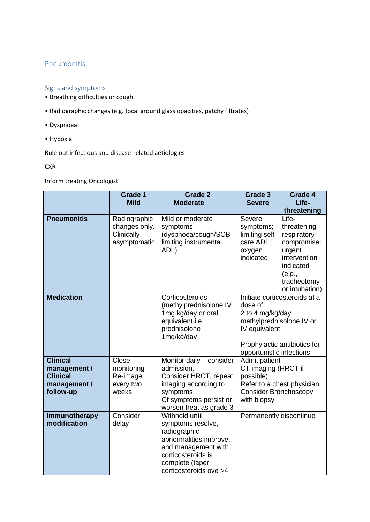### Pneumonitis

### Signs and symptoms

- Breathing difficulties or cough
- Radiographic changes (e.g. focal ground glass opacities, patchy filtrates)
- Dyspnoea
- Hypoxia

Rule out infectious and disease-related aetiologies

### **CXR**

Inform treating Oncologist

|                                                                                 | Grade 1                                                     | <b>Grade 2</b>                                                                                                                                                          | Grade 3                                                                                          | Grade 4                                                                                                                              |
|---------------------------------------------------------------------------------|-------------------------------------------------------------|-------------------------------------------------------------------------------------------------------------------------------------------------------------------------|--------------------------------------------------------------------------------------------------|--------------------------------------------------------------------------------------------------------------------------------------|
|                                                                                 | <b>Mild</b>                                                 | <b>Moderate</b>                                                                                                                                                         | <b>Severe</b>                                                                                    | Life-                                                                                                                                |
|                                                                                 |                                                             |                                                                                                                                                                         |                                                                                                  | threatening                                                                                                                          |
| <b>Pneumonitis</b>                                                              | Radiographic<br>changes only.<br>Clinically<br>asymptomatic | Mild or moderate<br>symptoms<br>(dyspnoea/cough/SOB<br>limiting instrumental<br>ADL)                                                                                    | Severe<br>symptoms;<br>limiting self<br>care ADL;<br>oxygen<br>indicated                         | Life-<br>threatening<br>respiratory<br>compromise;<br>urgent<br>intervention<br>indicated<br>(e.g.,<br>tracheotomy<br>or intubation) |
| <b>Medication</b>                                                               |                                                             | Corticosteroids<br>(methylprednisolone IV<br>1mg.kg/day or oral<br>equivalent i.e<br>prednisolone<br>1mg/kg/day                                                         | dose of<br>2 to 4 mg/kg/day<br>methylprednisolone IV or<br>IV equivalent                         | Initiate corticosteroids at a<br>Prophylactic antibiotics for                                                                        |
|                                                                                 |                                                             |                                                                                                                                                                         | opportunistic infections                                                                         |                                                                                                                                      |
| <b>Clinical</b><br>management /<br><b>Clinical</b><br>management /<br>follow-up | Close<br>monitoring<br>Re-image<br>every two<br>weeks       | Monitor daily - consider<br>admission.<br>Consider HRCT, repeat<br>imaging according to<br>symptoms<br>Of symptoms persist or<br>worsen treat as grade 3                | Admit patient<br>CT imaging (HRCT if<br>possible)<br><b>Consider Bronchoscopy</b><br>with biopsy | Refer to a chest physician                                                                                                           |
| Immunotherapy<br>modification                                                   | Consider<br>delay                                           | Withhold until<br>symptoms resolve,<br>radiographic<br>abnormalities improve,<br>and management with<br>corticosteroids is<br>complete (taper<br>corticosteroids ove >4 | Permanently discontinue                                                                          |                                                                                                                                      |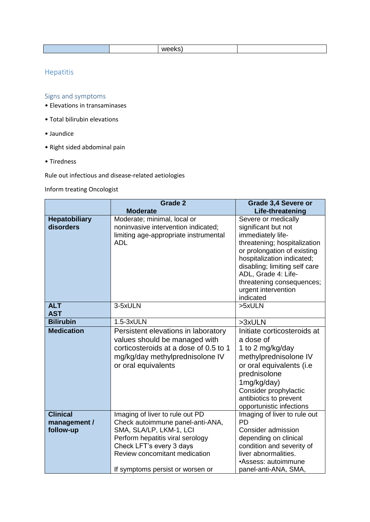|--|

# Hepatitis

# Signs and symptoms

- Elevations in transaminases
- Total bilirubin elevations
- Jaundice
- Right sided abdominal pain
- Tiredness

Rule out infectious and disease-related aetiologies

# Inform treating Oncologist

|                                              | Grade 2<br><b>Moderate</b>                                                                                                                                                                                                          | Grade 3,4 Severe or<br>Life-threatening                                                                                                                                                                                                                                               |
|----------------------------------------------|-------------------------------------------------------------------------------------------------------------------------------------------------------------------------------------------------------------------------------------|---------------------------------------------------------------------------------------------------------------------------------------------------------------------------------------------------------------------------------------------------------------------------------------|
| <b>Hepatobiliary</b><br>disorders            | Moderate; minimal, local or<br>noninvasive intervention indicated;<br>limiting age-appropriate instrumental<br><b>ADL</b>                                                                                                           | Severe or medically<br>significant but not<br>immediately life-<br>threatening; hospitalization<br>or prolongation of existing<br>hospitalization indicated;<br>disabling; limiting self care<br>ADL, Grade 4: Life-<br>threatening consequences;<br>urgent intervention<br>indicated |
| <b>ALT</b><br><b>AST</b>                     | 3-5xULN                                                                                                                                                                                                                             | >5xULN                                                                                                                                                                                                                                                                                |
| <b>Bilirubin</b>                             | 1.5-3xULN                                                                                                                                                                                                                           | >3xULN                                                                                                                                                                                                                                                                                |
| <b>Medication</b>                            | Persistent elevations in laboratory<br>values should be managed with<br>corticosteroids at a dose of 0.5 to 1<br>mg/kg/day methylprednisolone IV<br>or oral equivalents                                                             | Initiate corticosteroids at<br>a dose of<br>1 to 2 mg/kg/day<br>methylprednisolone IV<br>or oral equivalents (i.e<br>prednisolone<br>1mg/kg/day)<br>Consider prophylactic<br>antibiotics to prevent<br>opportunistic infections                                                       |
| <b>Clinical</b><br>management /<br>follow-up | Imaging of liver to rule out PD<br>Check autoimmune panel-anti-ANA,<br>SMA, SLA/LP, LKM-1, LCI<br>Perform hepatitis viral serology<br>Check LFT's every 3 days<br>Review concomitant medication<br>If symptoms persist or worsen or | Imaging of liver to rule out<br><b>PD</b><br>Consider admission<br>depending on clinical<br>condition and severity of<br>liver abnormalities.<br>•Assess: autoimmune<br>panel-anti-ANA, SMA,                                                                                          |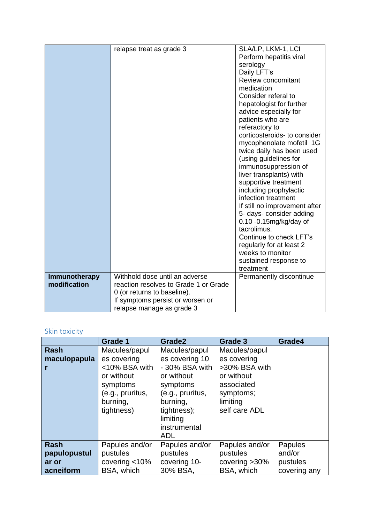|               | relapse treat as grade 3              | SLA/LP, LKM-1, LCI                              |
|---------------|---------------------------------------|-------------------------------------------------|
|               |                                       | Perform hepatitis viral                         |
|               |                                       | serology                                        |
|               |                                       | Daily LFT's                                     |
|               |                                       | Review concomitant                              |
|               |                                       | medication                                      |
|               |                                       | Consider referal to                             |
|               |                                       | hepatologist for further                        |
|               |                                       | advice especially for                           |
|               |                                       | patients who are                                |
|               |                                       | referactory to                                  |
|               |                                       | corticosteroids- to consider                    |
|               |                                       | mycophenolate mofetil 1G                        |
|               |                                       | twice daily has been used                       |
|               |                                       | (using guidelines for                           |
|               |                                       | immunosuppression of                            |
|               |                                       | liver transplants) with<br>supportive treatment |
|               |                                       | including prophylactic                          |
|               |                                       | infection treatment                             |
|               |                                       | If still no improvement after                   |
|               |                                       | 5- days- consider adding                        |
|               |                                       | 0.10 -0.15mg/kg/day of                          |
|               |                                       | tacrolimus.                                     |
|               |                                       | Continue to check LFT's                         |
|               |                                       | regularly for at least 2                        |
|               |                                       | weeks to monitor                                |
|               |                                       | sustained response to                           |
|               |                                       | treatment                                       |
| Immunotherapy | Withhold dose until an adverse        | Permanently discontinue                         |
| modification  | reaction resolves to Grade 1 or Grade |                                                 |
|               | 0 (or returns to baseline).           |                                                 |
|               | If symptoms persist or worsen or      |                                                 |
|               | relapse manage as grade 3             |                                                 |

# Skin toxicity

|                                                   | <b>Grade 1</b>                                                                                                        | Grade2                                                                                                                                                               | Grade 3                                                                                                             | Grade4                                        |
|---------------------------------------------------|-----------------------------------------------------------------------------------------------------------------------|----------------------------------------------------------------------------------------------------------------------------------------------------------------------|---------------------------------------------------------------------------------------------------------------------|-----------------------------------------------|
| <b>Rash</b><br>maculopapula                       | Macules/papul<br>es covering<br><10% BSA with<br>or without<br>symptoms<br>(e.g., pruritus,<br>burning,<br>tightness) | Macules/papul<br>es covering 10<br>- 30% BSA with<br>or without<br>symptoms<br>(e.g., pruritus,<br>burning,<br>tightness);<br>limiting<br>instrumental<br><b>ADL</b> | Macules/papul<br>es covering<br>>30% BSA with<br>or without<br>associated<br>symptoms;<br>limiting<br>self care ADL |                                               |
| <b>Rash</b><br>papulopustul<br>ar or<br>acneiform | Papules and/or<br>pustules<br>covering $<$ 10%<br>BSA, which                                                          | Papules and/or<br>pustules<br>covering 10-<br>30% BSA,                                                                                                               | Papules and/or<br>pustules<br>covering $>30\%$<br>BSA, which                                                        | Papules<br>and/or<br>pustules<br>covering any |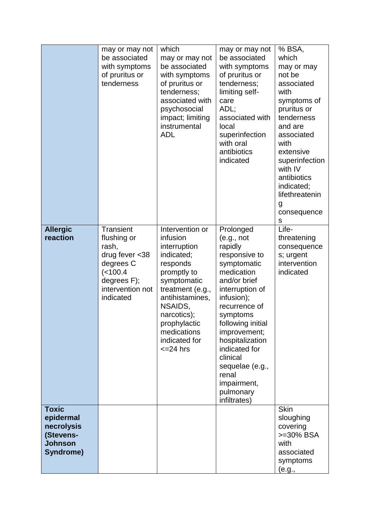|                                                                                     | may or may not<br>be associated<br>with symptoms<br>of pruritus or<br>tenderness                                                       | which<br>may or may not<br>be associated<br>with symptoms<br>of pruritus or<br>tenderness;<br>associated with<br>psychosocial<br>impact; limiting<br>instrumental<br><b>ADL</b>                                                            | may or may not<br>be associated<br>with symptoms<br>of pruritus or<br>tenderness;<br>limiting self-<br>care<br>ADL;<br>associated with<br>local<br>superinfection<br>with oral<br>antibiotics<br>indicated                                                                                                                  | % BSA,<br>which<br>may or may<br>not be<br>associated<br>with<br>symptoms of<br>pruritus or<br>tenderness<br>and are<br>associated<br>with<br>extensive<br>superinfection<br>with IV<br>antibiotics<br>indicated;<br>lifethreatenin<br>g<br>consequence<br>s |
|-------------------------------------------------------------------------------------|----------------------------------------------------------------------------------------------------------------------------------------|--------------------------------------------------------------------------------------------------------------------------------------------------------------------------------------------------------------------------------------------|-----------------------------------------------------------------------------------------------------------------------------------------------------------------------------------------------------------------------------------------------------------------------------------------------------------------------------|--------------------------------------------------------------------------------------------------------------------------------------------------------------------------------------------------------------------------------------------------------------|
| <b>Allergic</b><br>reaction                                                         | <b>Transient</b><br>flushing or<br>rash,<br>drug fever $<$ 38<br>degrees C<br>(< 100.4<br>degrees F);<br>intervention not<br>indicated | Intervention or<br>infusion<br>interruption<br>indicated;<br>responds<br>promptly to<br>symptomatic<br>treatment (e.g.,<br>antihistamines,<br>NSAIDS,<br>narcotics);<br>prophylactic<br>medications<br>indicated for<br>$\epsilon$ =24 hrs | Prolonged<br>(e.g., not<br>rapidly<br>responsive to<br>symptomatic<br>medication<br>and/or brief<br>interruption of<br>infusion);<br>recurrence of<br>symptoms<br>following initial<br>improvement;<br>hospitalization<br>indicated for<br>clinical<br>sequelae (e.g.,<br>renal<br>impairment,<br>pulmonary<br>infiltrates) | Life-<br>threatening<br>consequence<br>s; urgent<br>intervention<br>indicated                                                                                                                                                                                |
| <b>Toxic</b><br>epidermal<br>necrolysis<br>(Stevens-<br><b>Johnson</b><br>Syndrome) |                                                                                                                                        |                                                                                                                                                                                                                                            |                                                                                                                                                                                                                                                                                                                             | <b>Skin</b><br>sloughing<br>covering<br>>=30% BSA<br>with<br>associated<br>symptoms<br>(e.g.,                                                                                                                                                                |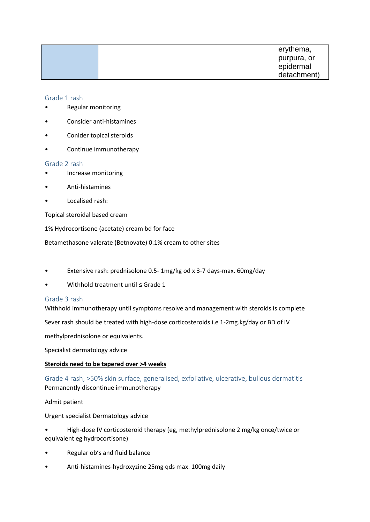|  |  | erythema,   |
|--|--|-------------|
|  |  | purpura, or |
|  |  | epidermal   |
|  |  | detachment) |

Grade 1 rash

- Regular monitoring
- Consider anti-histamines
- Conider topical steroids
- Continue immunotherapy

#### Grade 2 rash

- Increase monitoring
- Anti-histamines
- Localised rash:

Topical steroidal based cream

1% Hydrocortisone (acetate) cream bd for face

Betamethasone valerate (Betnovate) 0.1% cream to other sites

- Extensive rash: prednisolone 0.5- 1mg/kg od x 3-7 days-max. 60mg/day
- Withhold treatment until ≤ Grade 1

#### Grade 3 rash

Withhold immunotherapy until symptoms resolve and management with steroids is complete

Sever rash should be treated with high-dose corticosteroids i.e 1-2mg.kg/day or BD of IV

methylprednisolone or equivalents.

Specialist dermatology advice

#### **Steroids need to be tapered over >4 weeks**

Grade 4 rash, >50% skin surface, generalised, exfoliative, ulcerative, bullous dermatitis Permanently discontinue immunotherapy

Admit patient

Urgent specialist Dermatology advice

• High-dose IV corticosteroid therapy (eg, methylprednisolone 2 mg/kg once/twice or equivalent eg hydrocortisone)

- Regular ob's and fluid balance
- Anti-histamines-hydroxyzine 25mg qds max. 100mg daily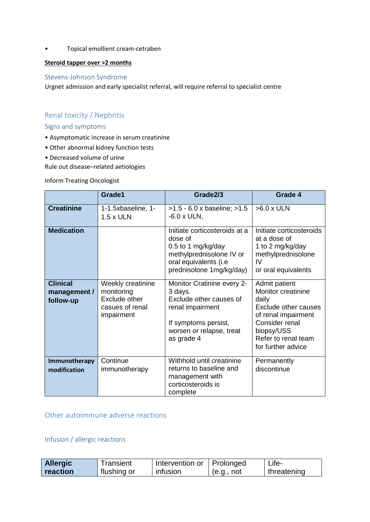• Topical emollient cream-cetraben

### **Steroid tapper over >2 months**

### Stevens-Johnson Syndrome

Urgnet admission and early specialist referral, will require referral to specialist centre

# Renal toxicity / Nephritis

### Signs and symptoms

- Asymptomatic increase in serum creatinine
- Other abnormal kidney function tests
- Decreased volume of urine

Rule out disease–related aetiologies

Inform Treating Oncologist

|                                              | Grade1                                                                                   | Grade2/3                                                                                                                                               | Grade 4                                                                                                                                                                  |
|----------------------------------------------|------------------------------------------------------------------------------------------|--------------------------------------------------------------------------------------------------------------------------------------------------------|--------------------------------------------------------------------------------------------------------------------------------------------------------------------------|
| <b>Creatinine</b>                            | 1-1.5xbaseline, 1-<br>1.5 x ULN                                                          | $>1.5 - 6.0$ x baseline; $>1.5$<br>$-6.0 \times ULN$ ,                                                                                                 | $>6.0$ x ULN                                                                                                                                                             |
| <b>Medication</b>                            |                                                                                          | Initiate corticosteroids at a<br>dose of<br>0.5 to 1 mg/kg/day<br>methylprednisolone IV or<br>oral equivalents (i.e<br>prednisolone 1mg/kg/day)        | Initiate corticosteroids<br>at a dose of<br>1 to 2 mg/kg/day<br>methylprednisolone<br>IV<br>or oral equivalents                                                          |
| <b>Clinical</b><br>management /<br>follow-up | Weekly creatinine<br>monitoring<br><b>Exclude other</b><br>casues of renal<br>impairment | Monitor Cratinine every 2-<br>3 days.<br>Exclude other causes of<br>renal impairment<br>If symptoms persist,<br>worsen or relapse, treat<br>as grade 4 | Admit patient<br>Monitor creatinine<br>daily<br>Exclude other causes<br>of renal impairment<br>Consider renal<br>biopsy/USS<br>Refer to renal team<br>for further advice |
| Immunotherapy<br>modification                | Continue<br>immunotherapy                                                                | Withhold until creatinine<br>returns to baseline and<br>management with<br>corticosteroids is<br>complete                                              | Permanently<br>discontinue                                                                                                                                               |

### Other autoimmune adverse reactions

Infusion / allergic reactions

| <b>Allergic</b> | Transient   | Intervention or | Prolonged  | Life-       |
|-----------------|-------------|-----------------|------------|-------------|
| reaction        | flushing or | infusion        | (e.g., not | threatening |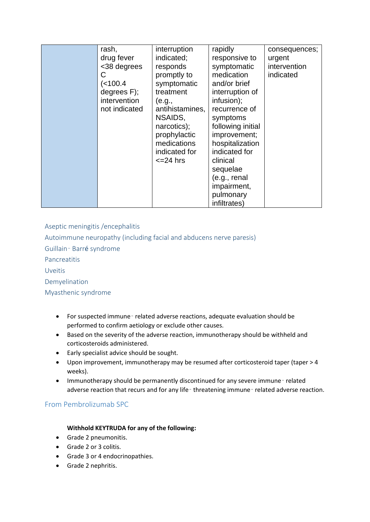| rash,<br>drug fever<br><38 degrees<br>С<br>(< 100.4<br>degrees $F$ );<br>intervention<br>not indicated | interruption<br>indicated;<br>responds<br>promptly to<br>symptomatic<br>treatment<br>(e.g.,<br>antihistamines,<br>NSAIDS,<br>narcotics);<br>prophylactic<br>medications<br>indicated for<br>$\epsilon$ =24 hrs | rapidly<br>responsive to<br>symptomatic<br>medication<br>and/or brief<br>interruption of<br>infusion);<br>recurrence of<br>symptoms<br>following initial<br>improvement;<br>hospitalization<br>indicated for<br>clinical<br>sequelae<br>(e.g., renal<br>impairment,<br>pulmonary | consequences;<br>urgent<br>intervention<br>indicated |
|--------------------------------------------------------------------------------------------------------|----------------------------------------------------------------------------------------------------------------------------------------------------------------------------------------------------------------|----------------------------------------------------------------------------------------------------------------------------------------------------------------------------------------------------------------------------------------------------------------------------------|------------------------------------------------------|
|--------------------------------------------------------------------------------------------------------|----------------------------------------------------------------------------------------------------------------------------------------------------------------------------------------------------------------|----------------------------------------------------------------------------------------------------------------------------------------------------------------------------------------------------------------------------------------------------------------------------------|------------------------------------------------------|

Aseptic meningitis /encephalitis

Autoimmune neuropathy (including facial and abducens nerve paresis)

Guillain‑ Barré syndrome

Pancreatitis

Uveitis

Demyelination

Myasthenic syndrome

- For suspected immune related adverse reactions, adequate evaluation should be performed to confirm aetiology or exclude other causes.
- Based on the severity of the adverse reaction, immunotherapy should be withheld and corticosteroids administered.
- Early specialist advice should be sought.
- Upon improvement, immunotherapy may be resumed after corticosteroid taper (taper > 4 weeks).
- Immunotherapy should be permanently discontinued for any severe immune related adverse reaction that recurs and for any life-threatening immune-related adverse reaction.

# From Pembrolizumab SPC

### **Withhold KEYTRUDA for any of the following:**

- Grade 2 pneumonitis.
- Grade 2 or 3 colitis.
- Grade 3 or 4 endocrinopathies.
- Grade 2 nephritis.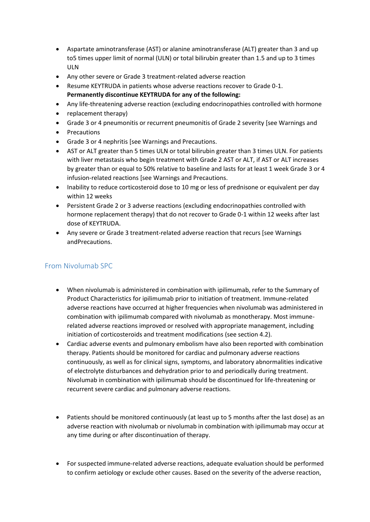- Aspartate aminotransferase (AST) or alanine aminotransferase (ALT) greater than 3 and up to5 times upper limit of normal (ULN) or total bilirubin greater than 1.5 and up to 3 times ULN
- Any other severe or Grade 3 treatment-related adverse reaction
- Resume KEYTRUDA in patients whose adverse reactions recover to Grade 0-1. **Permanently discontinue KEYTRUDA for any of the following:**
- Any life-threatening adverse reaction (excluding endocrinopathies controlled with hormone
- replacement therapy)
- Grade 3 or 4 pneumonitis or recurrent pneumonitis of Grade 2 severity [see Warnings and
- Precautions
- Grade 3 or 4 nephritis [see Warnings and Precautions.
- AST or ALT greater than 5 times ULN or total bilirubin greater than 3 times ULN. For patients with liver metastasis who begin treatment with Grade 2 AST or ALT, if AST or ALT increases by greater than or equal to 50% relative to baseline and lasts for at least 1 week Grade 3 or 4 infusion-related reactions [see Warnings and Precautions.
- Inability to reduce corticosteroid dose to 10 mg or less of prednisone or equivalent per day within 12 weeks
- Persistent Grade 2 or 3 adverse reactions (excluding endocrinopathies controlled with hormone replacement therapy) that do not recover to Grade 0-1 within 12 weeks after last dose of KEYTRUDA.
- Any severe or Grade 3 treatment-related adverse reaction that recurs [see Warnings andPrecautions.

# From Nivolumab SPC

- When nivolumab is administered in combination with ipilimumab, refer to the Summary of Product Characteristics for ipilimumab prior to initiation of treatment. Immune-related adverse reactions have occurred at higher frequencies when nivolumab was administered in combination with ipilimumab compared with nivolumab as monotherapy. Most immunerelated adverse reactions improved or resolved with appropriate management, including initiation of corticosteroids and treatment modifications (see section 4.2).
- Cardiac adverse events and pulmonary embolism have also been reported with combination therapy. Patients should be monitored for cardiac and pulmonary adverse reactions continuously, as well as for clinical signs, symptoms, and laboratory abnormalities indicative of electrolyte disturbances and dehydration prior to and periodically during treatment. Nivolumab in combination with ipilimumab should be discontinued for life-threatening or recurrent severe cardiac and pulmonary adverse reactions.
- Patients should be monitored continuously (at least up to 5 months after the last dose) as an adverse reaction with nivolumab or nivolumab in combination with ipilimumab may occur at any time during or after discontinuation of therapy.
- For suspected immune-related adverse reactions, adequate evaluation should be performed to confirm aetiology or exclude other causes. Based on the severity of the adverse reaction,